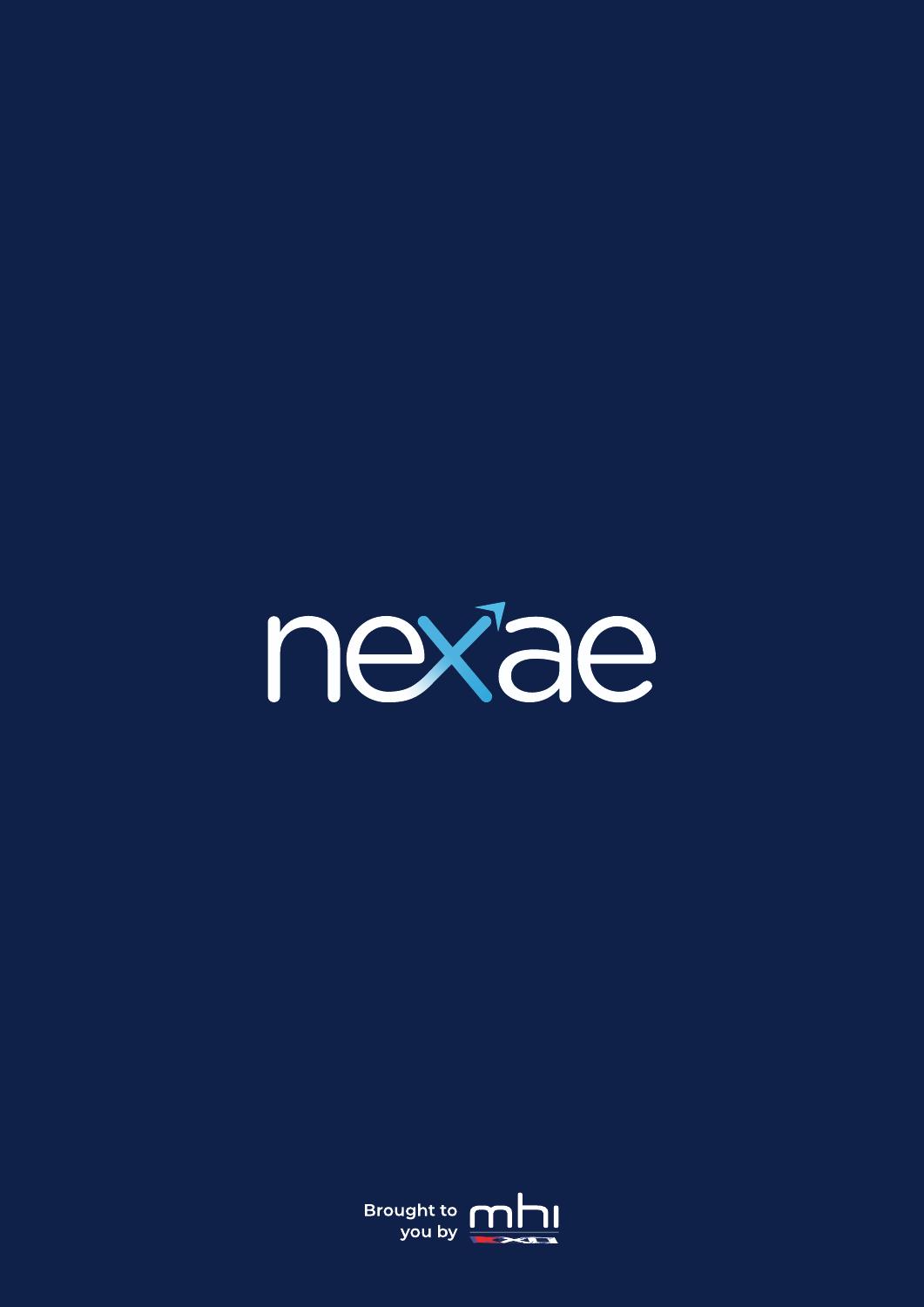

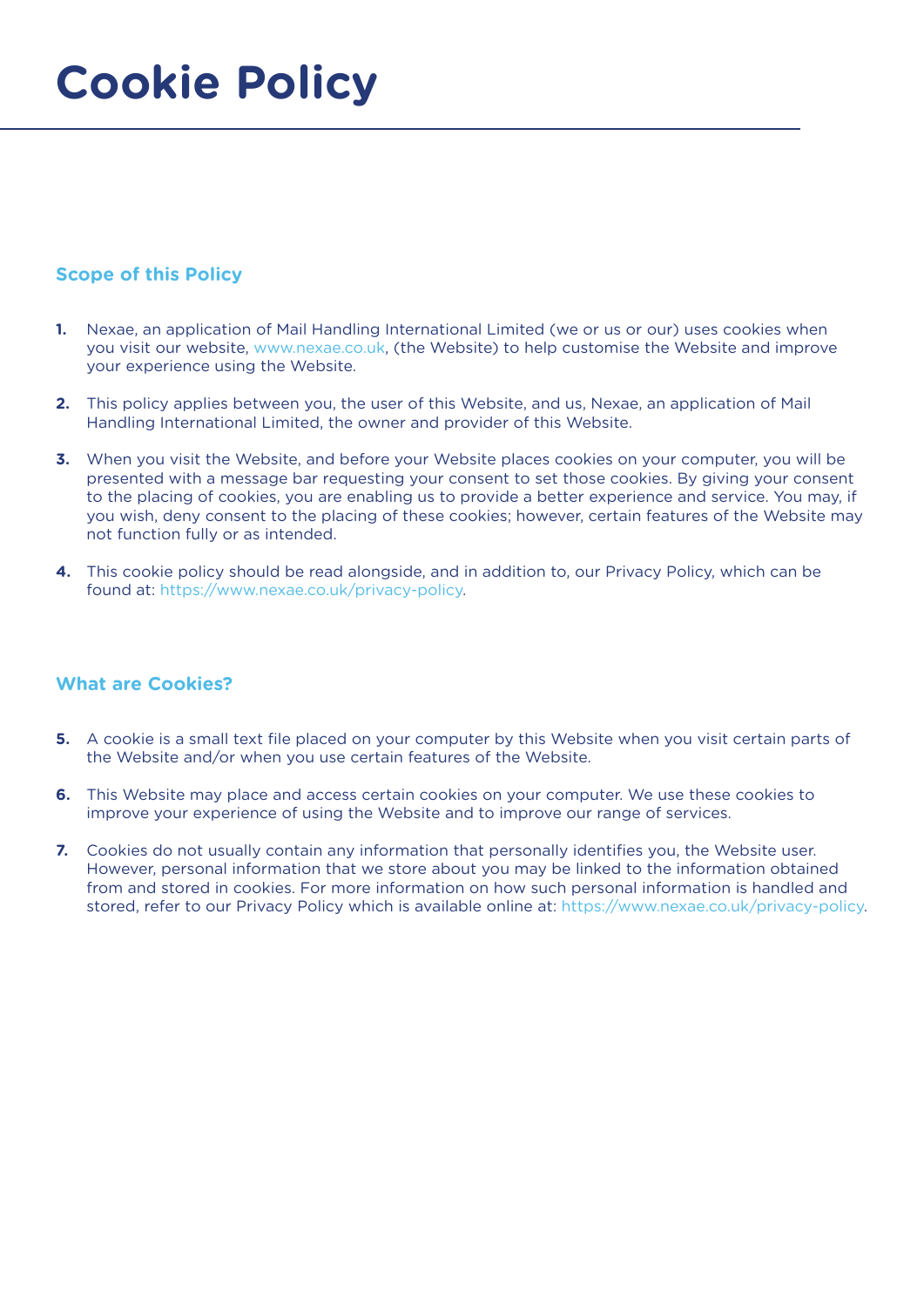# **Cookie Policy**

## **Scope of this Policy**

- **1.** Nexae, an application of Mail Handling International Limited (we or us or our) uses cookies when you visit our website, www.nexae.co.uk, (the Website) to help customise the Website and improve your experience using the Website.
- **2.** This policy applies between you, the user of this Website, and us, Nexae, an application of Mail Handling International Limited, the owner and provider of this Website.
- **3.** When you visit the Website, and before your Website places cookies on your computer, you will be presented with a message bar requesting your consent to set those cookies. By giving your consent to the placing of cookies, you are enabling us to provide a better experience and service. You may, if you wish, deny consent to the placing of these cookies; however, certain features of the Website may not function fully or as intended.
- **4.** This cookie policy should be read alongside, and in addition to, our Privacy Policy, which can be found at: https://www.nexae.co.uk/privacy-policy.

## **What are Cookies?**

- **5.** A cookie is a small text file placed on your computer by this Website when you visit certain parts of the Website and/or when you use certain features of the Website.
- **6.** This Website may place and access certain cookies on your computer. We use these cookies to improve your experience of using the Website and to improve our range of services.
- **7.** Cookies do not usually contain any information that personally identifies you, the Website user. However, personal information that we store about you may be linked to the information obtained from and stored in cookies. For more information on how such personal information is handled and stored, refer to our Privacy Policy which is available online at: https://www.nexae.co.uk/privacy-policy.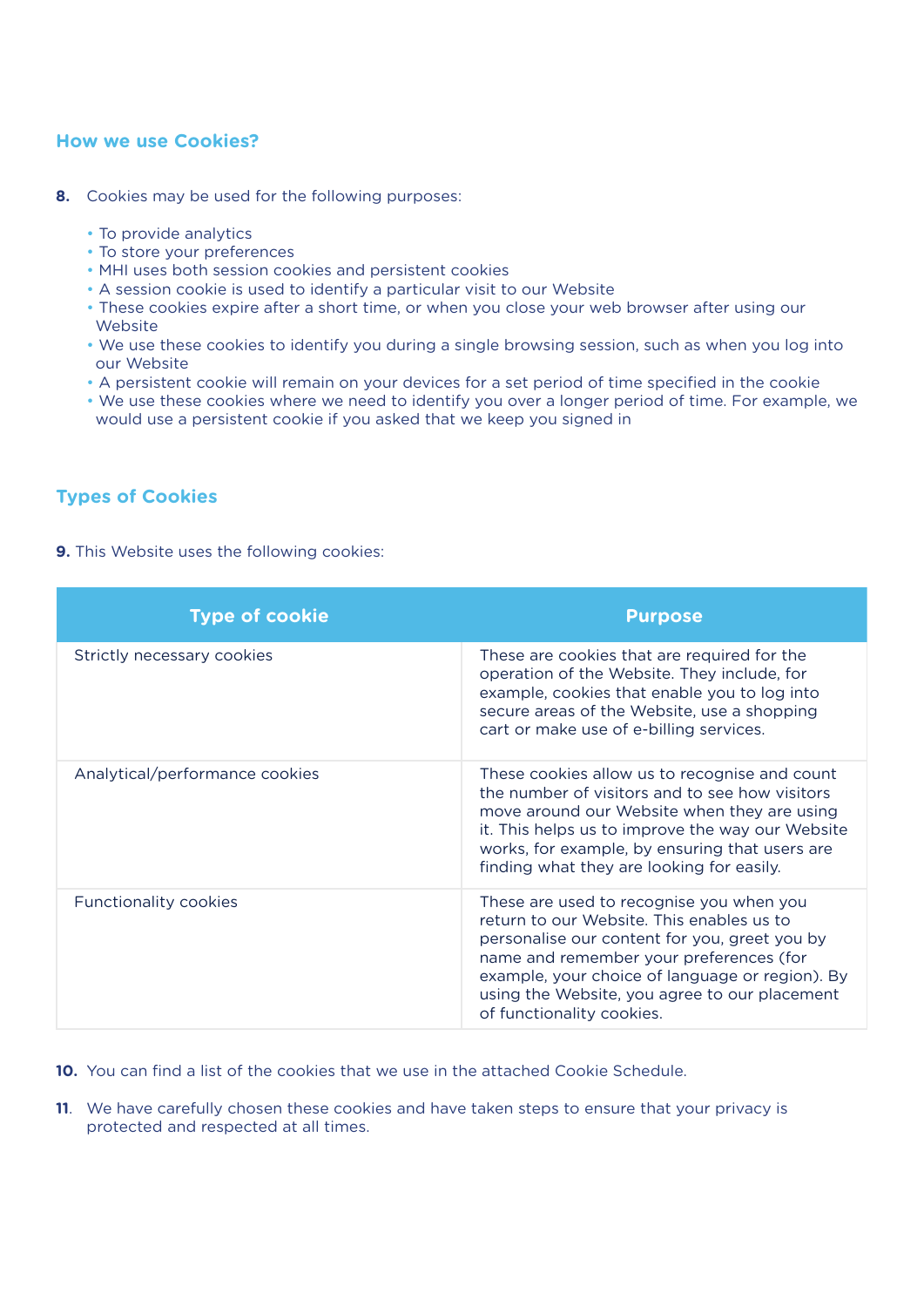### **How we use Cookies?**

- **8.** Cookies may be used for the following purposes:
	- To provide analytics
	- To store your preferences
	- MHI uses both session cookies and persistent cookies
	- A session cookie is used to identify a particular visit to our Website
	- These cookies expire after a short time, or when you close your web browser after using our Website
	- We use these cookies to identify you during a single browsing session, such as when you log into our Website
	- A persistent cookie will remain on your devices for a set period of time specified in the cookie
	- We use these cookies where we need to identify you over a longer period of time. For example, we would use a persistent cookie if you asked that we keep you signed in

## **Types of Cookies**

**9.** This Website uses the following cookies:

| <b>Type of cookie</b>          | <b>Purpose</b>                                                                                                                                                                                                                                                                                                     |
|--------------------------------|--------------------------------------------------------------------------------------------------------------------------------------------------------------------------------------------------------------------------------------------------------------------------------------------------------------------|
| Strictly necessary cookies     | These are cookies that are required for the<br>operation of the Website. They include, for<br>example, cookies that enable you to log into<br>secure areas of the Website, use a shopping<br>cart or make use of e-billing services.                                                                               |
| Analytical/performance cookies | These cookies allow us to recognise and count<br>the number of visitors and to see how visitors<br>move around our Website when they are using<br>it. This helps us to improve the way our Website<br>works, for example, by ensuring that users are<br>finding what they are looking for easily.                  |
| <b>Functionality cookies</b>   | These are used to recognise you when you<br>return to our Website. This enables us to<br>personalise our content for you, greet you by<br>name and remember your preferences (for<br>example, your choice of language or region). By<br>using the Website, you agree to our placement<br>of functionality cookies. |

**10.** You can find a list of the cookies that we use in the attached Cookie Schedule.

**11**. We have carefully chosen these cookies and have taken steps to ensure that your privacy is protected and respected at all times.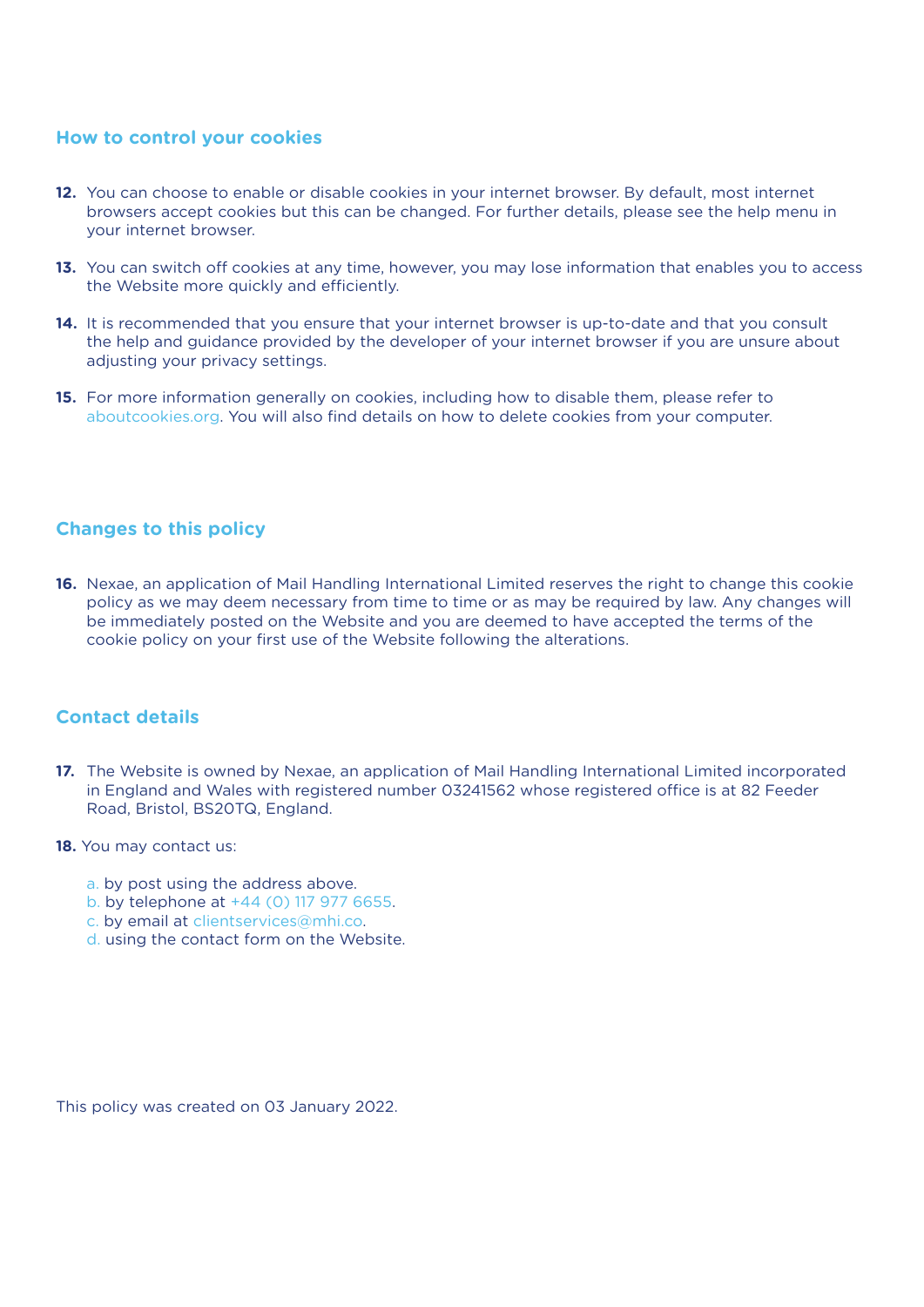#### **How to control your cookies**

- **12.** You can choose to enable or disable cookies in your internet browser. By default, most internet browsers accept cookies but this can be changed. For further details, please see the help menu in your internet browser.
- **13.** You can switch off cookies at any time, however, you may lose information that enables you to access the Website more quickly and efficiently.
- **14.** It is recommended that you ensure that your internet browser is up-to-date and that you consult the help and guidance provided by the developer of your internet browser if you are unsure about adjusting your privacy settings.
- **15.** For more information generally on cookies, including how to disable them, please refer to aboutcookies.org. You will also find details on how to delete cookies from your computer.

#### **Changes to this policy**

**16.** Nexae, an application of Mail Handling International Limited reserves the right to change this cookie policy as we may deem necessary from time to time or as may be required by law. Any changes will be immediately posted on the Website and you are deemed to have accepted the terms of the cookie policy on your first use of the Website following the alterations.

#### **Contact details**

- 17. The Website is owned by Nexae, an application of Mail Handling International Limited incorporated in England and Wales with registered number 03241562 whose registered office is at 82 Feeder Road, Bristol, BS20TQ, England.
- **18.** You may contact us:
	- a. by post using the address above.
	- b. by telephone at +44 (0) 117 977 6655.
	- c. by email at clientservices@mhi.co.
	- d. using the contact form on the Website.

This policy was created on 03 January 2022.